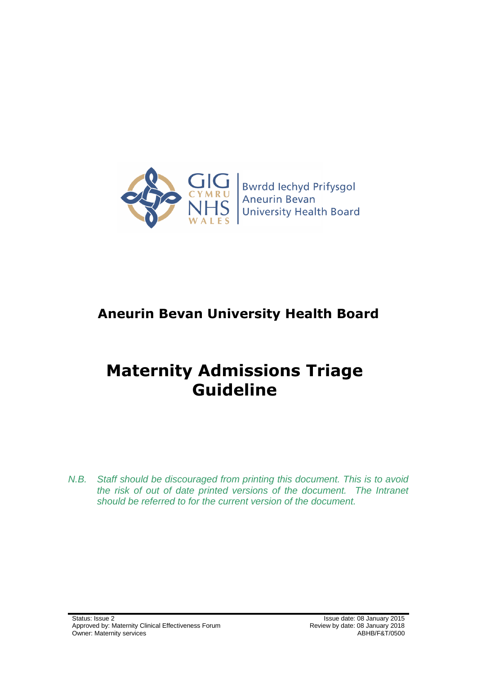

**Bwrdd lechyd Prifysgol** Aneurin Bevan **University Health Board** 

# **Aneurin Bevan University Health Board**

# **Maternity Admissions Triage Guideline**

*N.B. Staff should be discouraged from printing this document. This is to avoid the risk of out of date printed versions of the document. The Intranet should be referred to for the current version of the document.*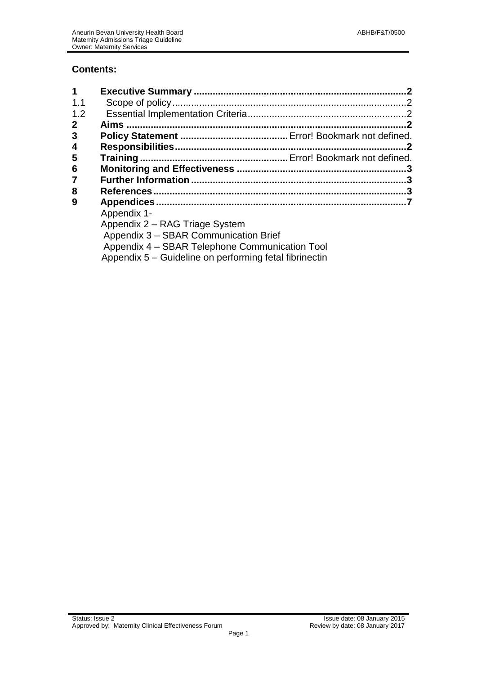# **Contents:**

<span id="page-1-0"></span>

| 1                       |                                                        |  |
|-------------------------|--------------------------------------------------------|--|
| 1.1                     |                                                        |  |
| 1.2                     |                                                        |  |
| $\mathbf 2$             |                                                        |  |
| 3                       |                                                        |  |
| $\overline{\mathbf{4}}$ |                                                        |  |
| 5                       |                                                        |  |
| 6                       |                                                        |  |
| $\overline{7}$          |                                                        |  |
| 8                       |                                                        |  |
| 9                       |                                                        |  |
|                         | Appendix 1-                                            |  |
|                         | Appendix 2 - RAG Triage System                         |  |
|                         | Appendix 3 - SBAR Communication Brief                  |  |
|                         | Appendix 4 - SBAR Telephone Communication Tool         |  |
|                         | Appendix 5 – Guideline on performing fetal fibrinectin |  |
|                         |                                                        |  |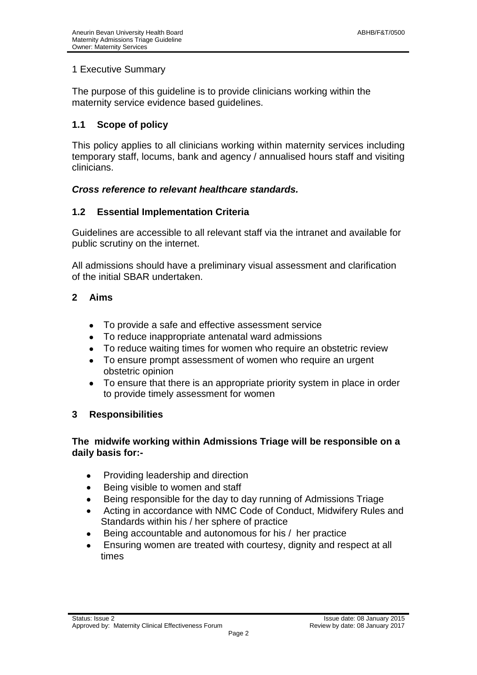### 1 Executive Summary

The purpose of this guideline is to provide clinicians working within the maternity service evidence based guidelines.

# <span id="page-2-0"></span>**1.1 Scope of policy**

This policy applies to all clinicians working within maternity services including temporary staff, locums, bank and agency / annualised hours staff and visiting clinicians.

#### *Cross reference to relevant healthcare standards.*

#### <span id="page-2-1"></span>**1.2 Essential Implementation Criteria**

Guidelines are accessible to all relevant staff via the intranet and available for public scrutiny on the internet.

All admissions should have a preliminary visual assessment and clarification of the initial SBAR undertaken.

#### <span id="page-2-2"></span>**2 Aims**

- To provide a safe and effective assessment service  $\bullet$
- To reduce inappropriate antenatal ward admissions
- To reduce waiting times for women who require an obstetric review
- To ensure prompt assessment of women who require an urgent obstetric opinion
- To ensure that there is an appropriate priority system in place in order to provide timely assessment for women

#### <span id="page-2-3"></span>**3 Responsibilities**

#### **The midwife working within Admissions Triage will be responsible on a daily basis for:-**

- Providing leadership and direction  $\bullet$
- Being visible to women and staff
- Being responsible for the day to day running of Admissions Triage
- Acting in accordance with NMC Code of Conduct, Midwifery Rules and Standards within his / her sphere of practice
- Being accountable and autonomous for his / her practice
- Ensuring women are treated with courtesy, dignity and respect at all times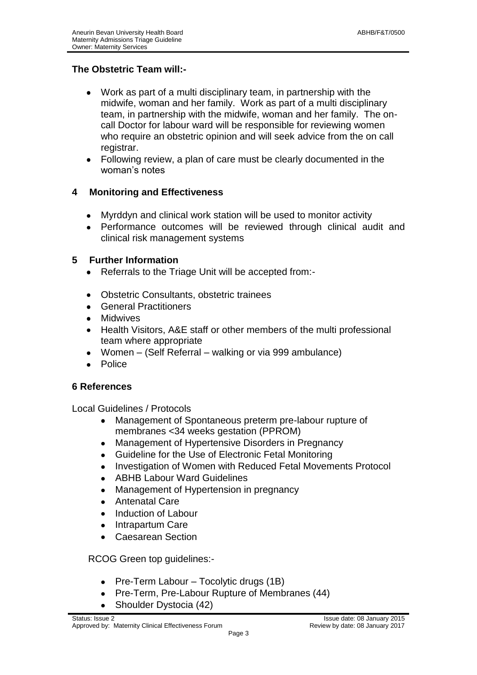# **The Obstetric Team will:-**

- Work as part of a multi disciplinary team, in partnership with the midwife, woman and her family. Work as part of a multi disciplinary team, in partnership with the midwife, woman and her family. The oncall Doctor for labour ward will be responsible for reviewing women who require an obstetric opinion and will seek advice from the on call registrar.
- Following review, a plan of care must be clearly documented in the woman's notes

# <span id="page-3-0"></span>**4 Monitoring and Effectiveness**

- Myrddyn and clinical work station will be used to monitor activity
- Performance outcomes will be reviewed through clinical audit and clinical risk management systems

# <span id="page-3-1"></span>**5 Further Information**

- Referrals to the Triage Unit will be accepted from:-  $\bullet$
- Obstetric Consultants, obstetric trainees
- General Practitioners
- Midwives  $\bullet$
- Health Visitors, A&E staff or other members of the multi professional  $\bullet$ team where appropriate
- Women (Self Referral walking or via 999 ambulance)
- Police

#### <span id="page-3-2"></span>**6 References**

Local Guidelines / Protocols

- Management of Spontaneous preterm pre-labour rupture of membranes <34 weeks gestation (PPROM)
- Management of Hypertensive Disorders in Pregnancy
- Guideline for the Use of Electronic Fetal Monitoring  $\bullet$
- Investigation of Women with Reduced Fetal Movements Protocol
- ABHB Labour Ward Guidelines  $\bullet$
- Management of Hypertension in pregnancy  $\bullet$
- Antenatal Care
- Induction of Labour
- Intrapartum Care  $\bullet$
- Caesarean Section  $\bullet$

RCOG Green top guidelines:-

- $\bullet$ Pre-Term Labour – Tocolytic drugs (1B)
- Pre-Term, Pre-Labour Rupture of Membranes (44)
- Shoulder Dystocia (42)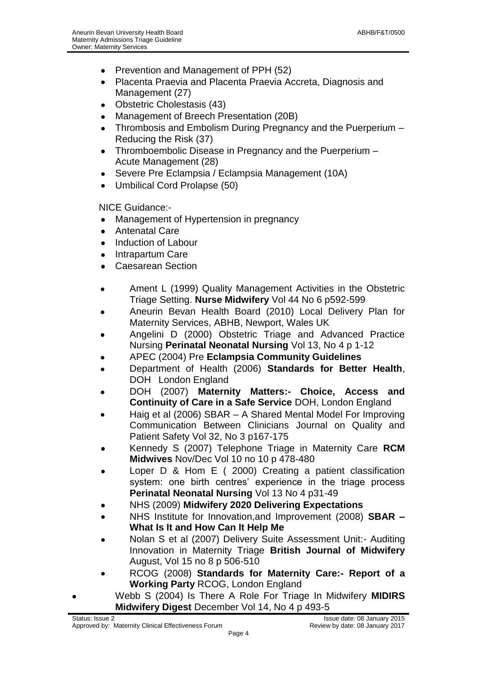- Prevention and Management of PPH (52)  $\bullet$
- Placenta Praevia and Placenta Praevia Accreta, Diagnosis and  $\bullet$ Management (27)
- Obstetric Cholestasis (43)
- Management of Breech Presentation (20B)
- Thrombosis and Embolism During Pregnancy and the Puerperium Reducing the Risk (37)
- Thromboembolic Disease in Pregnancy and the Puerperium Acute Management (28)
- Severe Pre Eclampsia / Eclampsia Management (10A)
- $\bullet$ Umbilical Cord Prolapse (50)

NICE Guidance:-

- Management of Hypertension in pregnancy  $\bullet$
- Antenatal Care  $\bullet$
- Induction of Labour
- Intrapartum Care  $\bullet$
- Caesarean Section  $\bullet$
- Ament L (1999) Quality Management Activities in the Obstetric  $\bullet$ Triage Setting. **Nurse Midwifery** Vol 44 No 6 p592-599
- Aneurin Bevan Health Board (2010) Local Delivery Plan for Maternity Services, ABHB, Newport, Wales UK
- Angelini D (2000) Obstetric Triage and Advanced Practice Nursing **Perinatal Neonatal Nursing** Vol 13, No 4 p 1-12
- APEC (2004) Pre **Eclampsia Community Guidelines**
- Department of Health (2006) **Standards for Better Health**, DOH London England
- DOH (2007) **Maternity Matters:- Choice, Access and Continuity of Care in a Safe Service** DOH, London England
- Haig et al (2006) SBAR A Shared Mental Model For Improving Communication Between Clinicians Journal on Quality and Patient Safety Vol 32, No 3 p167-175
- Kennedy S (2007) Telephone Triage in Maternity Care **RCM Midwives** Nov/Dec Vol 10 no 10 p 478-480
- Loper D & Hom E ( 2000) Creating a patient classification system: one birth centres' experience in the triage process **Perinatal Neonatal Nursing** Vol 13 No 4 p31-49
- NHS (2009) **Midwifery 2020 Delivering Expectations**
- NHS Institute for Innovation,and Improvement (2008) **SBAR – What Is It and How Can It Help Me**
- Nolan S et al (2007) Delivery Suite Assessment Unit:- Auditing Innovation in Maternity Triage **British Journal of Midwifery** August, Vol 15 no 8 p 506-510
- RCOG (2008) **Standards for Maternity Care:- Report of a Working Party** RCOG, London England
- Webb S (2004) Is There A Role For Triage In Midwifery **MIDIRS Midwifery Digest** December Vol 14, No 4 p 493-5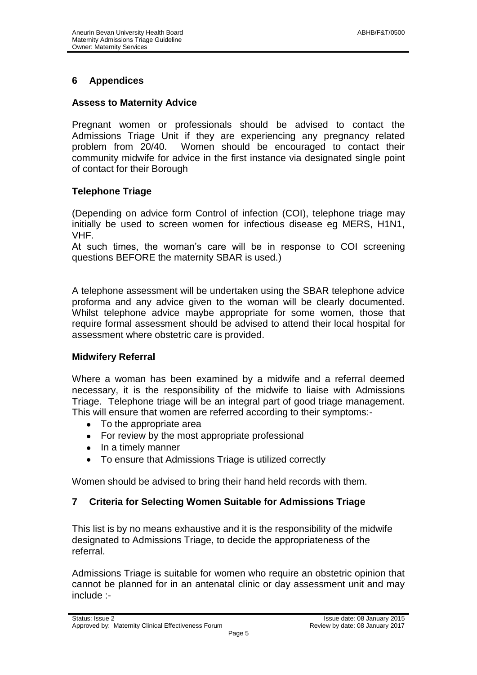# <span id="page-5-0"></span>**6 Appendices**

#### **Assess to Maternity Advice**

Pregnant women or professionals should be advised to contact the Admissions Triage Unit if they are experiencing any pregnancy related problem from 20/40. Women should be encouraged to contact their community midwife for advice in the first instance via designated single point of contact for their Borough

# **Telephone Triage**

(Depending on advice form Control of infection (COI), telephone triage may initially be used to screen women for infectious disease eg MERS, H1N1, VHF.

At such times, the woman's care will be in response to COI screening questions BEFORE the maternity SBAR is used.)

A telephone assessment will be undertaken using the SBAR telephone advice proforma and any advice given to the woman will be clearly documented. Whilst telephone advice maybe appropriate for some women, those that require formal assessment should be advised to attend their local hospital for assessment where obstetric care is provided.

#### **Midwifery Referral**

Where a woman has been examined by a midwife and a referral deemed necessary, it is the responsibility of the midwife to liaise with Admissions Triage. Telephone triage will be an integral part of good triage management. This will ensure that women are referred according to their symptoms:-

- To the appropriate area
- For review by the most appropriate professional
- In a timely manner
- To ensure that Admissions Triage is utilized correctly

Women should be advised to bring their hand held records with them.

#### **7 Criteria for Selecting Women Suitable for Admissions Triage**

This list is by no means exhaustive and it is the responsibility of the midwife designated to Admissions Triage, to decide the appropriateness of the referral.

Admissions Triage is suitable for women who require an obstetric opinion that cannot be planned for in an antenatal clinic or day assessment unit and may include :-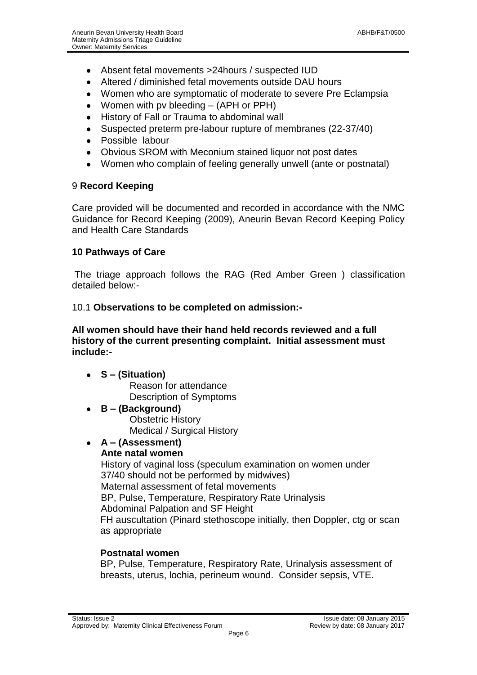- Absent fetal movements >24hours / suspected IUD
- Altered / diminished fetal movements outside DAU hours
- Women who are symptomatic of moderate to severe Pre Eclampsia
- Women with pv bleeding (APH or PPH)
- History of Fall or Trauma to abdominal wall
- Suspected preterm pre-labour rupture of membranes (22-37/40)
- Possible labour
- Obvious SROM with Meconium stained liquor not post dates
- Women who complain of feeling generally unwell (ante or postnatal)

#### 9 **Record Keeping**

Care provided will be documented and recorded in accordance with the NMC Guidance for Record Keeping (2009), Aneurin Bevan Record Keeping Policy and Health Care Standards

# **10 Pathways of Care**

The triage approach follows the RAG (Red Amber Green ) classification detailed below:-

#### 10.1 **Observations to be completed on admission:-**

**All women should have their hand held records reviewed and a full history of the current presenting complaint. Initial assessment must include:-**

- **S – (Situation)** Reason for attendance Description of Symptoms
- **B – (Background)**  $\bullet$ Obstetric History Medical / Surgical History

#### **A – (Assessment)**  $\bullet$

# **Ante natal women**

History of vaginal loss (speculum examination on women under 37/40 should not be performed by midwives) Maternal assessment of fetal movements BP, Pulse, Temperature, Respiratory Rate Urinalysis Abdominal Palpation and SF Height FH auscultation (Pinard stethoscope initially, then Doppler, ctg or scan as appropriate

# **Postnatal women**

BP, Pulse, Temperature, Respiratory Rate, Urinalysis assessment of breasts, uterus, lochia, perineum wound. Consider sepsis, VTE.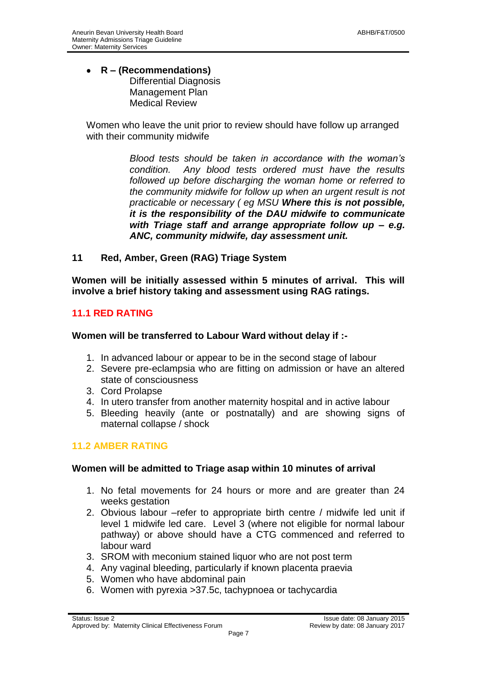#### **R – (Recommendations)** Differential Diagnosis Management Plan Medical Review

Women who leave the unit prior to review should have follow up arranged with their community midwife

> *Blood tests should be taken in accordance with the woman's condition. Any blood tests ordered must have the results followed up before discharging the woman home or referred to the community midwife for follow up when an urgent result is not practicable or necessary ( eg MSU Where this is not possible, it is the responsibility of the DAU midwife to communicate with Triage staff and arrange appropriate follow up – e.g. ANC, community midwife, day assessment unit.*

**11 Red, Amber, Green (RAG) Triage System**

**Women will be initially assessed within 5 minutes of arrival. This will involve a brief history taking and assessment using RAG ratings.**

# **11.1 RED RATING**

#### **Women will be transferred to Labour Ward without delay if :-**

- 1. In advanced labour or appear to be in the second stage of labour
- 2. Severe pre-eclampsia who are fitting on admission or have an altered state of consciousness
- 3. Cord Prolapse
- 4. In utero transfer from another maternity hospital and in active labour
- 5. Bleeding heavily (ante or postnatally) and are showing signs of maternal collapse / shock

#### **11.2 AMBER RATING**

#### **Women will be admitted to Triage asap within 10 minutes of arrival**

- 1. No fetal movements for 24 hours or more and are greater than 24 weeks gestation
- 2. Obvious labour –refer to appropriate birth centre / midwife led unit if level 1 midwife led care. Level 3 (where not eligible for normal labour pathway) or above should have a CTG commenced and referred to labour ward
- 3. SROM with meconium stained liquor who are not post term
- 4. Any vaginal bleeding, particularly if known placenta praevia
- 5. Women who have abdominal pain
- 6. Women with pyrexia >37.5c, tachypnoea or tachycardia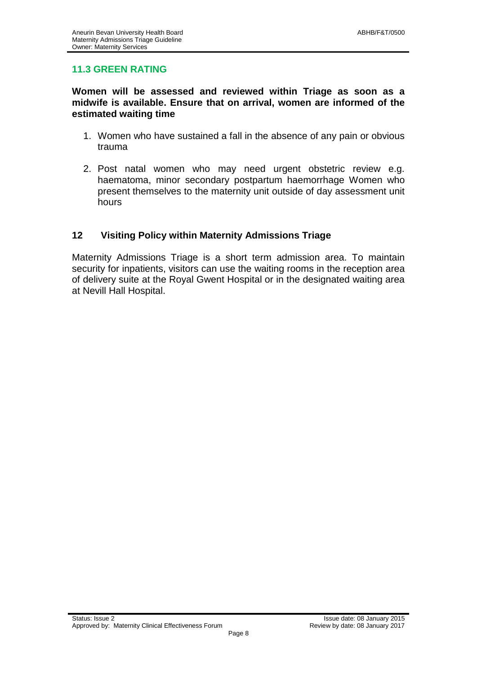# **11.3 GREEN RATING**

#### **Women will be assessed and reviewed within Triage as soon as a midwife is available. Ensure that on arrival, women are informed of the estimated waiting time**

- 1. Women who have sustained a fall in the absence of any pain or obvious trauma
- 2. Post natal women who may need urgent obstetric review e.g. haematoma, minor secondary postpartum haemorrhage Women who present themselves to the maternity unit outside of day assessment unit hours

# **12 Visiting Policy within Maternity Admissions Triage**

Maternity Admissions Triage is a short term admission area. To maintain security for inpatients, visitors can use the waiting rooms in the reception area of delivery suite at the Royal Gwent Hospital or in the designated waiting area at Nevill Hall Hospital.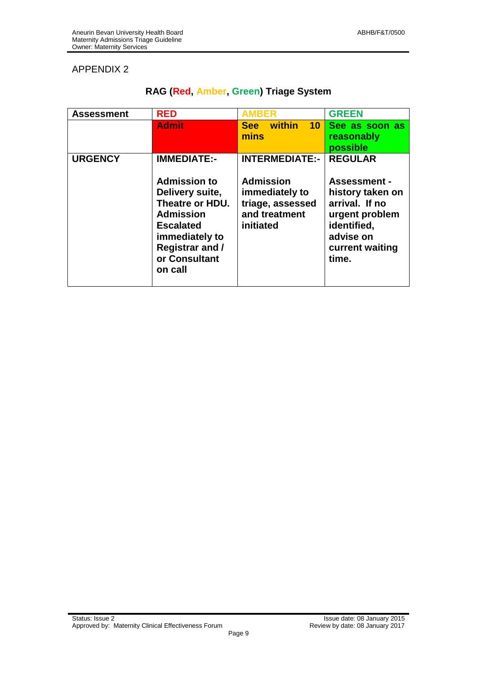# APPENDIX 2

| <b>Assessment</b> | <b>RED</b>                                                                                                                                                                                      | <b>AMBER</b>                                                                                                  | <b>GREEN</b>                                                                                                                                          |
|-------------------|-------------------------------------------------------------------------------------------------------------------------------------------------------------------------------------------------|---------------------------------------------------------------------------------------------------------------|-------------------------------------------------------------------------------------------------------------------------------------------------------|
|                   | <b>Admit</b>                                                                                                                                                                                    | See within<br>10 <sup>1</sup><br>mins                                                                         | See as soon as<br>reasonably<br>possible                                                                                                              |
| <b>URGENCY</b>    | <b>IMMEDIATE:-</b><br><b>Admission to</b><br>Delivery suite,<br>Theatre or HDU.<br><b>Admission</b><br><b>Escalated</b><br>immediately to<br><b>Registrar and /</b><br>or Consultant<br>on call | <b>INTERMEDIATE:-</b><br><b>Admission</b><br>immediately to<br>triage, assessed<br>and treatment<br>initiated | <b>REGULAR</b><br><b>Assessment -</b><br>history taken on<br>arrival. If no<br>urgent problem<br>identified,<br>advise on<br>current waiting<br>time. |

# **RAG (Red, Amber, Green) Triage System**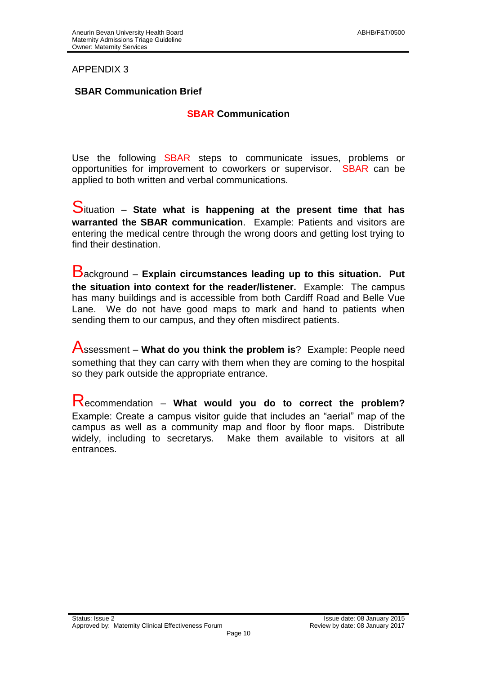#### APPENDIX 3

#### **SBAR Communication Brief**

#### **SBAR Communication**

Use the following SBAR steps to communicate issues, problems or opportunities for improvement to coworkers or supervisor. SBAR can be applied to both written and verbal communications.

Situation – **State what is happening at the present time that has warranted the SBAR communication**. Example: Patients and visitors are entering the medical centre through the wrong doors and getting lost trying to find their destination.

Background – **Explain circumstances leading up to this situation. Put the situation into context for the reader/listener.** Example: The campus has many buildings and is accessible from both Cardiff Road and Belle Vue Lane. We do not have good maps to mark and hand to patients when sending them to our campus, and they often misdirect patients.

Assessment – **What do you think the problem is**? Example: People need something that they can carry with them when they are coming to the hospital so they park outside the appropriate entrance.

Recommendation – **What would you do to correct the problem?**  Example: Create a campus visitor guide that includes an "aerial" map of the campus as well as a community map and floor by floor maps. Distribute widely, including to secretarys. Make them available to visitors at all entrances.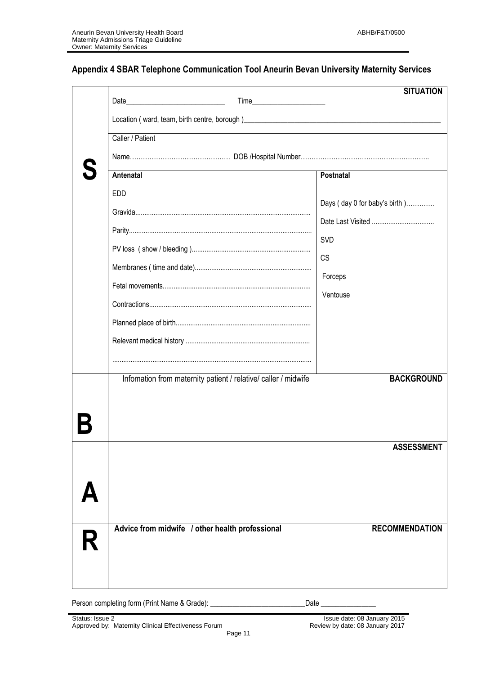# **Appendix 4 SBAR Telephone Communication Tool Aneurin Bevan University Maternity Services**

|   |                                                 |                                                                                                                                                                                                                                | <b>SITUATION</b>              |
|---|-------------------------------------------------|--------------------------------------------------------------------------------------------------------------------------------------------------------------------------------------------------------------------------------|-------------------------------|
|   |                                                 | Location (ward, team, birth centre, borough) entitled and the control of the control of the control of the control of the control of the control of the control of the control of the control of the control of the control of |                               |
|   | Caller / Patient                                |                                                                                                                                                                                                                                |                               |
|   |                                                 |                                                                                                                                                                                                                                |                               |
|   | Antenatal                                       |                                                                                                                                                                                                                                | Postnatal                     |
|   | <b>EDD</b>                                      |                                                                                                                                                                                                                                | Days (day 0 for baby's birth) |
|   |                                                 |                                                                                                                                                                                                                                | Date Last Visited             |
|   |                                                 |                                                                                                                                                                                                                                | SVD                           |
|   |                                                 |                                                                                                                                                                                                                                | <b>CS</b>                     |
|   |                                                 |                                                                                                                                                                                                                                | Forceps                       |
|   |                                                 |                                                                                                                                                                                                                                | Ventouse                      |
|   |                                                 |                                                                                                                                                                                                                                |                               |
|   |                                                 |                                                                                                                                                                                                                                |                               |
|   |                                                 |                                                                                                                                                                                                                                |                               |
|   |                                                 |                                                                                                                                                                                                                                |                               |
|   |                                                 | Infomation from maternity patient / relative/ caller / midwife                                                                                                                                                                 | <b>BACKGROUND</b>             |
|   |                                                 |                                                                                                                                                                                                                                |                               |
|   |                                                 |                                                                                                                                                                                                                                |                               |
|   |                                                 |                                                                                                                                                                                                                                | <b>ASSESSMENT</b>             |
|   |                                                 |                                                                                                                                                                                                                                |                               |
|   |                                                 |                                                                                                                                                                                                                                |                               |
|   |                                                 |                                                                                                                                                                                                                                |                               |
|   |                                                 |                                                                                                                                                                                                                                |                               |
|   | Advice from midwife / other health professional |                                                                                                                                                                                                                                | <b>RECOMMENDATION</b>         |
| R |                                                 |                                                                                                                                                                                                                                |                               |
|   |                                                 |                                                                                                                                                                                                                                |                               |
|   |                                                 |                                                                                                                                                                                                                                |                               |

Person completing form (Print Name & Grade): \_\_\_\_\_\_\_\_\_\_\_\_\_\_\_\_\_\_\_\_\_\_\_\_\_\_\_\_\_\_\_Date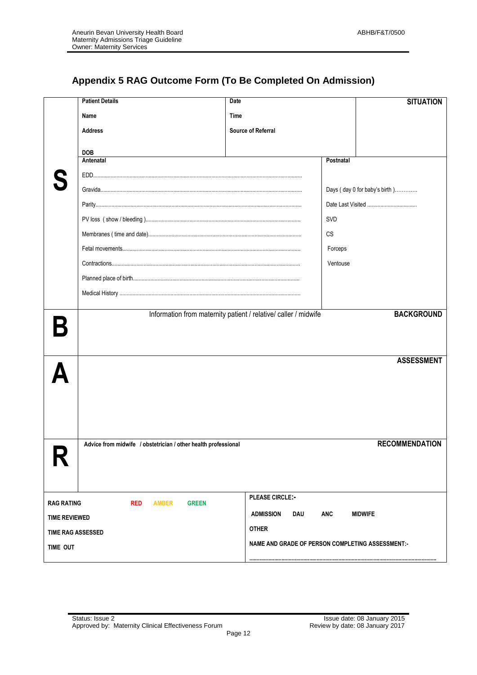# **Appendix 5 RAG Outcome Form (To Be Completed On Admission)**

|                          | <b>Patient Details</b>                                         | <b>Date</b>                                                     |            | <b>SITUATION</b>              |
|--------------------------|----------------------------------------------------------------|-----------------------------------------------------------------|------------|-------------------------------|
|                          | Name                                                           | Time                                                            |            |                               |
|                          | <b>Address</b>                                                 | Source of Referral                                              |            |                               |
|                          | <b>DOB</b>                                                     |                                                                 |            |                               |
|                          | Antenatal                                                      |                                                                 | Postnatal  |                               |
|                          |                                                                |                                                                 |            |                               |
|                          |                                                                |                                                                 |            | Days (day 0 for baby's birth) |
|                          |                                                                |                                                                 |            |                               |
|                          |                                                                |                                                                 | <b>SVD</b> |                               |
|                          |                                                                |                                                                 | CS         |                               |
|                          |                                                                |                                                                 | Forceps    |                               |
|                          |                                                                |                                                                 | Ventouse   |                               |
|                          |                                                                |                                                                 |            |                               |
|                          |                                                                |                                                                 |            |                               |
|                          |                                                                |                                                                 |            |                               |
|                          |                                                                | Information from maternity patient / relative/ caller / midwife |            | <b>BACKGROUND</b>             |
|                          |                                                                |                                                                 |            |                               |
|                          |                                                                |                                                                 |            |                               |
|                          |                                                                |                                                                 |            | <b>ASSESSMENT</b>             |
|                          |                                                                |                                                                 |            |                               |
|                          |                                                                |                                                                 |            |                               |
|                          |                                                                |                                                                 |            |                               |
|                          |                                                                |                                                                 |            |                               |
|                          |                                                                |                                                                 |            |                               |
|                          | Advice from midwife / obstetrician / other health professional |                                                                 |            | <b>RECOMMENDATION</b>         |
|                          |                                                                |                                                                 |            |                               |
|                          |                                                                |                                                                 |            |                               |
|                          |                                                                | <b>PLEASE CIRCLE:-</b>                                          |            |                               |
| <b>RAG RATING</b>        | <b>RED</b><br><b>AMBER</b><br><b>GREEN</b>                     |                                                                 |            |                               |
| <b>TIME REVIEWED</b>     |                                                                | <b>ADMISSION</b><br><b>DAU</b>                                  | <b>ANC</b> | <b>MIDWIFE</b>                |
| <b>TIME RAG ASSESSED</b> |                                                                | <b>OTHER</b>                                                    |            |                               |
| TIME OUT                 |                                                                | NAME AND GRADE OF PERSON COMPLETING ASSESSMENT:-                |            |                               |
|                          |                                                                |                                                                 |            |                               |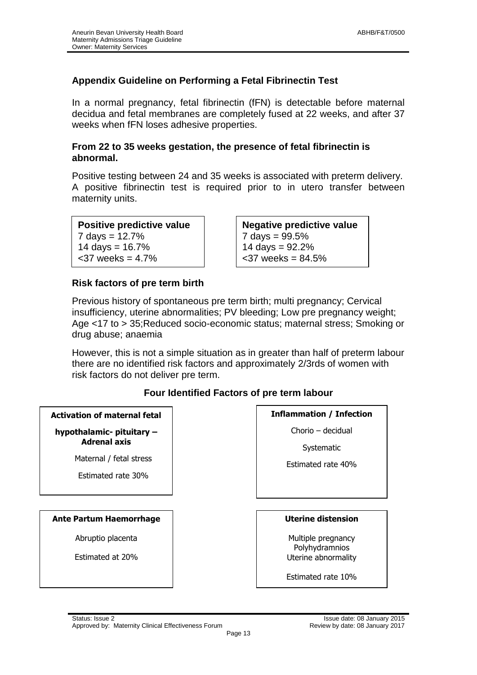# **Appendix Guideline on Performing a Fetal Fibrinectin Test**

In a normal pregnancy, fetal fibrinectin (fFN) is detectable before maternal decidua and fetal membranes are completely fused at 22 weeks, and after 37 weeks when fFN loses adhesive properties.

#### **From 22 to 35 weeks gestation, the presence of fetal fibrinectin is abnormal.**

Positive testing between 24 and 35 weeks is associated with preterm delivery. A positive fibrinectin test is required prior to in utero transfer between maternity units.

| Positive predictive value |
|---------------------------|
| 7 days = $12.7%$          |
| 14 days = $16.7\%$        |
| $<$ 37 weeks = 4.7%       |

**Negative predictive value**  $7 \text{ days} = 99.5\%$ 14 days =  $92.2%$  $<$ 37 weeks = 84.5%

#### **Risk factors of pre term birth**

Previous history of spontaneous pre term birth; multi pregnancy; Cervical insufficiency, uterine abnormalities; PV bleeding; Low pre pregnancy weight; Age <17 to > 35;Reduced socio-economic status; maternal stress; Smoking or drug abuse; anaemia

However, this is not a simple situation as in greater than half of preterm labour there are no identified risk factors and approximately 2/3rds of women with risk factors do not deliver pre term.

#### **Four Identified Factors of pre term labour**

| <b>Activation of maternal fetal</b>                                  | <b>Inflammation / Infection</b>       |  |
|----------------------------------------------------------------------|---------------------------------------|--|
| hypothalamic- pituitary -                                            | Chorio - decidual                     |  |
| <b>Adrenal axis</b><br>Maternal / fetal stress<br>Estimated rate 30% | Systematic<br>Estimated rate 40%      |  |
| <b>Ante Partum Haemorrhage</b>                                       | <b>Uterine distension</b>             |  |
| Abruptio placenta                                                    | Multiple pregnancy                    |  |
| Estimated at 20%                                                     | Polyhydramnios<br>Uterine abnormality |  |
|                                                                      | Estimated rate 10%                    |  |
|                                                                      |                                       |  |
| Status: Issue 2                                                      | Issue date: 08 Ja                     |  |
| Approved by: Maternity Clinical Effectiveness Forum                  | Review by date: 08 Ja                 |  |

Page 13